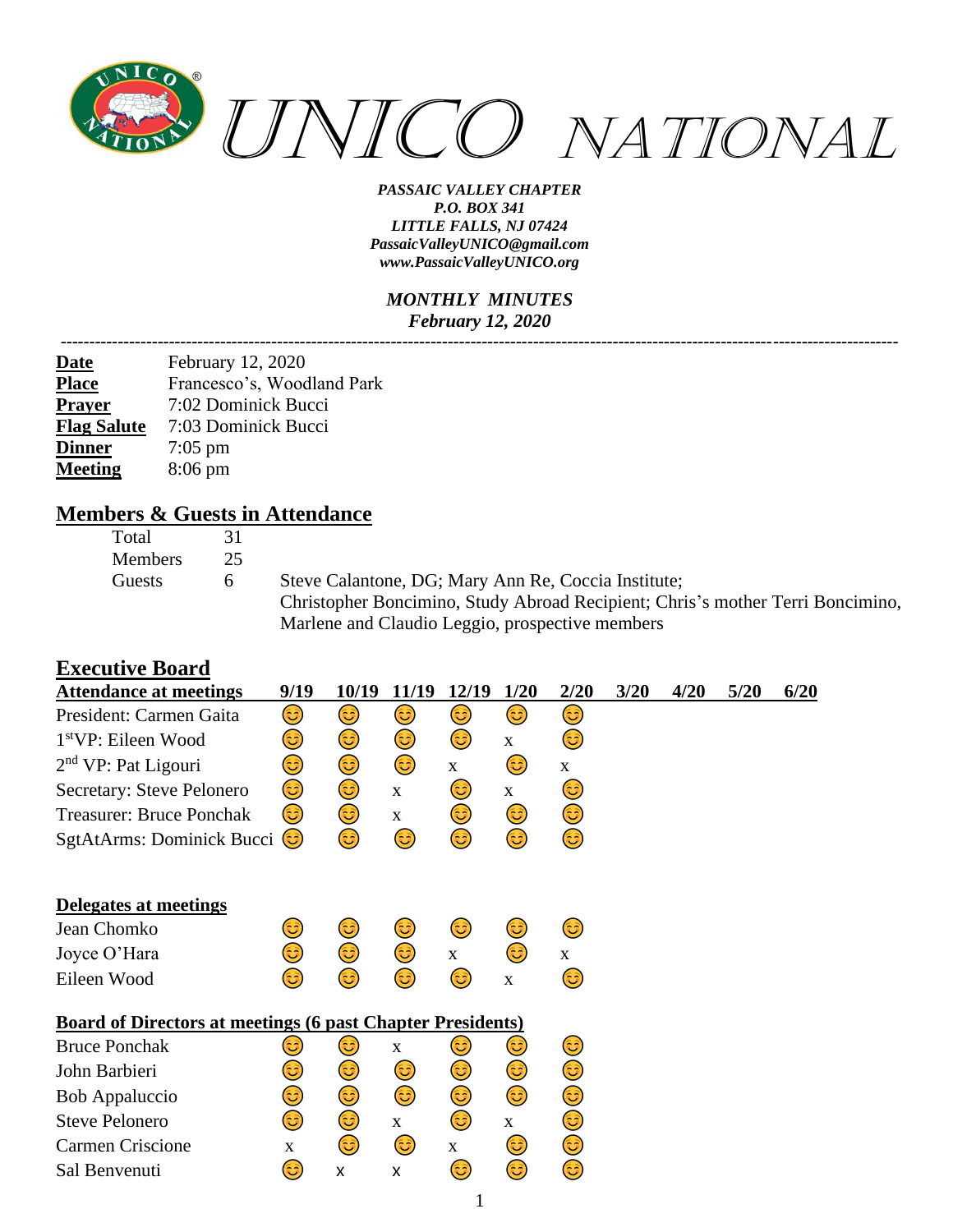

#### *MONTHLY MINUTES February 12, 2020*

| <u>Date</u>        | February 12, 2020          |
|--------------------|----------------------------|
| <b>Place</b>       | Francesco's, Woodland Park |
| <b>Prayer</b>      | 7:02 Dominick Bucci        |
| <b>Flag Salute</b> | 7:03 Dominick Bucci        |
| <b>Dinner</b>      | $7:05$ pm                  |
| <b>Meeting</b>     | $8:06 \text{ pm}$          |
|                    |                            |

### **Members & Guests in Attendance**

| Total          | 3 I |                                                                                |
|----------------|-----|--------------------------------------------------------------------------------|
| <b>Members</b> | 25  |                                                                                |
| Guests         | 6   | Steve Calantone, DG; Mary Ann Re, Coccia Institute;                            |
|                |     | Christopher Boncimino, Study Abroad Recipient; Chris's mother Terri Boncimino, |
|                |     | Marlene and Claudio Leggio, prospective members                                |

### **Executive Board**

| <b>Attendance at meetings</b>                                     | 9/19        | 10/19 | 11/19       | 12/19       | 1/20         | 2/20         | 3/20 | 4/20 | 5/20 | 6/20 |
|-------------------------------------------------------------------|-------------|-------|-------------|-------------|--------------|--------------|------|------|------|------|
| President: Carmen Gaita                                           | 3)          | 3)    | 3)          | 3)          | 3)           | 3)           |      |      |      |      |
| 1 <sup>st</sup> VP: Eileen Wood                                   | 3           | 3)    | 3           | 3)          | $\mathbf X$  | 3)           |      |      |      |      |
| $2nd$ VP: Pat Ligouri                                             | ٢           | ٢     | 3           | $\mathbf X$ | 3)           | $\mathbf{X}$ |      |      |      |      |
| Secretary: Steve Pelonero                                         | ٢           | ٢     | $\mathbf X$ | 3)          | $\mathbf{X}$ | 3)           |      |      |      |      |
| <b>Treasurer: Bruce Ponchak</b>                                   | 3)          | 3)    | X           | 3)          | 3            | ٢            |      |      |      |      |
| SgtAtArms: Dominick Bucci                                         | (3          | ٢     | ٢           | 3           | ٢            | ٢            |      |      |      |      |
| Delegates at meetings                                             |             |       |             |             |              |              |      |      |      |      |
| Jean Chomko                                                       | 3)          | 3     | 3           | 3)          | 3)           | ٢            |      |      |      |      |
| Joyce O'Hara                                                      | ම           | ٢     | ٢           | X           | 3)           | $\mathbf X$  |      |      |      |      |
| Eileen Wood                                                       | 3           | 3     | 63)         | 3           | $\mathbf{X}$ | 3)           |      |      |      |      |
| <b>Board of Directors at meetings (6 past Chapter Presidents)</b> |             |       |             |             |              |              |      |      |      |      |
| <b>Bruce Ponchak</b>                                              | 3           | ಡಿ    | $\mathbf X$ | ಟ           | 3)           | 3)           |      |      |      |      |
| John Barbieri                                                     | 3)          | 3)    | 3)          | 3)          | 3)           | ٢            |      |      |      |      |
| <b>Bob Appaluccio</b>                                             | ☺           | ٢     | 3           | ٢           | ٢            | ☺            |      |      |      |      |
| <b>Steve Pelonero</b>                                             | ☺           | ٢     | $\mathbf X$ | ٢           | $\mathbf{X}$ | ☺            |      |      |      |      |
| <b>Carmen Criscione</b>                                           | $\mathbf X$ | 3)    | 3)          | X           | 3)           | ٢            |      |      |      |      |
| Sal Benvenuti                                                     | 3)          | X     | X           | 3)          | ☺            | 3            |      |      |      |      |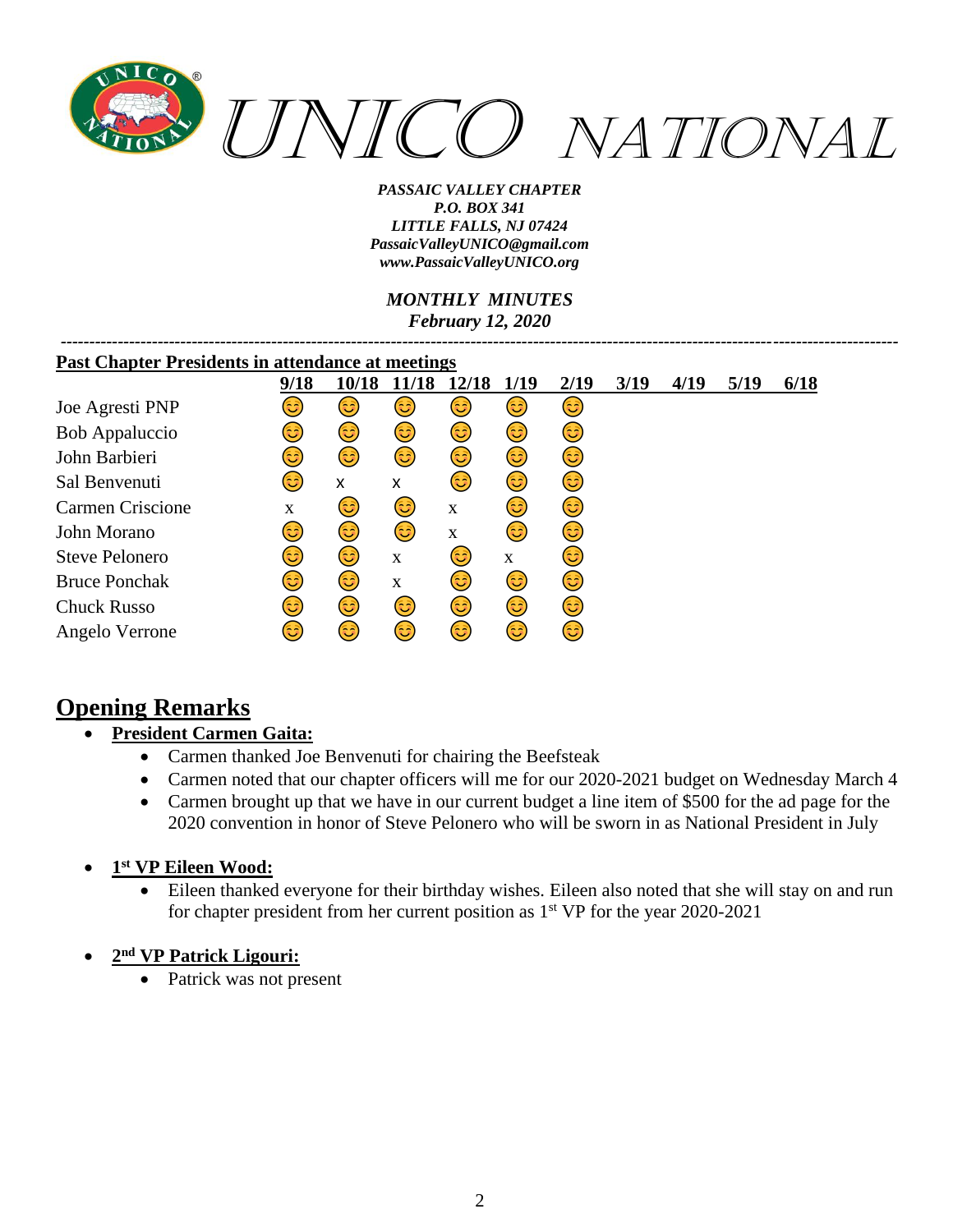

*MONTHLY MINUTES February 12, 2020*

*---------------------------------------------------------------------------------------------------------------------------------------------------*

| <b>Past Chapter Presidents in attendance at meetings</b> |             |       |       |             |      |      |      |      |      |      |
|----------------------------------------------------------|-------------|-------|-------|-------------|------|------|------|------|------|------|
|                                                          | 9/18        | 10/18 | 11/18 | 12/18       | 1/19 | 2/19 | 3/19 | 4/19 | 5/19 | 6/18 |
| Joe Agresti PNP                                          | ತಿ          | فأ    | 3     | فأ          | 3)   | 3    |      |      |      |      |
| <b>Bob Appaluccio</b>                                    | 3           | 3     | 6     | 3)          | 3)   | 3)   |      |      |      |      |
| John Barbieri                                            | 3           | 3     | 3     | 3)          | 3)   | 3)   |      |      |      |      |
| Sal Benvenuti                                            | 3           | X     | x     | 3           | 6    | 3)   |      |      |      |      |
| Carmen Criscione                                         | $\mathbf X$ | 3     | 3)    | $\mathbf X$ | 3    | 3    |      |      |      |      |
| John Morano                                              | 3           | 3)    | 3     | $\mathbf X$ | 3    | 3)   |      |      |      |      |
| <b>Steve Pelonero</b>                                    | 3           | 3     | X     | 3           | X    | 3    |      |      |      |      |
| <b>Bruce Ponchak</b>                                     | 63)         | 3     | X     | 3           | 3    | 3    |      |      |      |      |
| <b>Chuck Russo</b>                                       | 63)         | 3     | 3     | 3           | 6    | 3    |      |      |      |      |
| Angelo Verrone                                           | ಡಿ          | 63    | 3)    | 63          | 3)   | 3    |      |      |      |      |

# **Opening Remarks**

## • **President Carmen Gaita:**

- Carmen thanked Joe Benvenuti for chairing the Beefsteak
- Carmen noted that our chapter officers will me for our 2020-2021 budget on Wednesday March 4
- Carmen brought up that we have in our current budget a line item of \$500 for the ad page for the 2020 convention in honor of Steve Pelonero who will be sworn in as National President in July
- **1 st VP Eileen Wood:**
	- Eileen thanked everyone for their birthday wishes. Eileen also noted that she will stay on and run for chapter president from her current position as  $1<sup>st</sup> VP$  for the year 2020-2021
- **2 nd VP Patrick Ligouri:**
	- Patrick was not present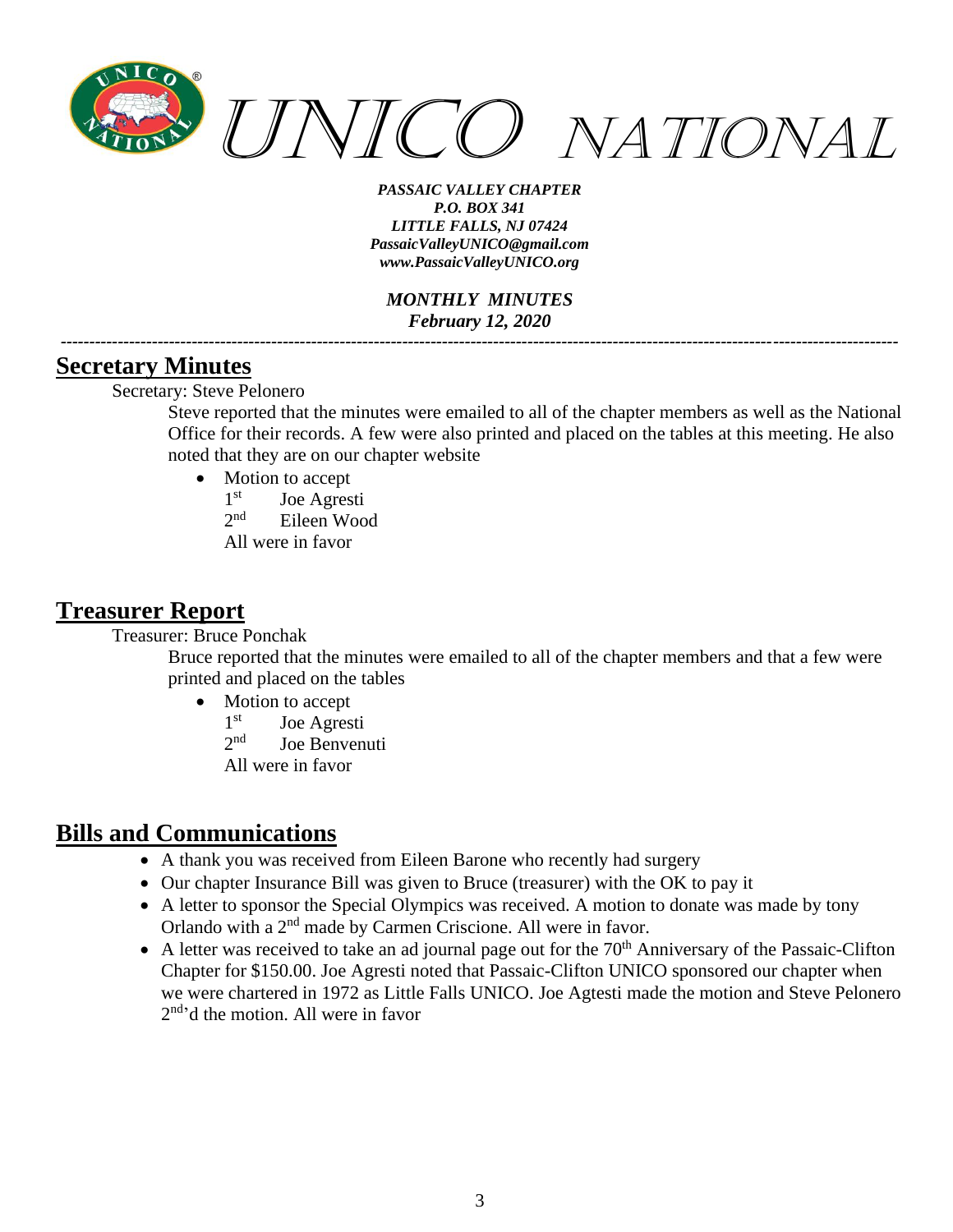

*MONTHLY MINUTES February 12, 2020 ---------------------------------------------------------------------------------------------------------------------------------------------------*

### **Secretary Minutes**

Secretary: Steve Pelonero

Steve reported that the minutes were emailed to all of the chapter members as well as the National Office for their records. A few were also printed and placed on the tables at this meeting. He also noted that they are on our chapter website

- Motion to accept
	- 1<sup>st</sup> Joe Agresti
	- $2^{nd}$ Eileen Wood
	- All were in favor

## **Treasurer Report**

Treasurer: Bruce Ponchak

Bruce reported that the minutes were emailed to all of the chapter members and that a few were printed and placed on the tables

- Motion to accept
	- 1<sup>st</sup> Joe Agresti
	- $2<sub>nd</sub>$ Joe Benvenuti
	- All were in favor

# **Bills and Communications**

- A thank you was received from Eileen Barone who recently had surgery
- Our chapter Insurance Bill was given to Bruce (treasurer) with the OK to pay it
- A letter to sponsor the Special Olympics was received. A motion to donate was made by tony Orlando with a 2<sup>nd</sup> made by Carmen Criscione. All were in favor.
- A letter was received to take an ad journal page out for the  $70<sup>th</sup>$  Anniversary of the Passaic-Clifton Chapter for \$150.00. Joe Agresti noted that Passaic-Clifton UNICO sponsored our chapter when we were chartered in 1972 as Little Falls UNICO. Joe Agtesti made the motion and Steve Pelonero 2<sup>nd</sup>'d the motion. All were in favor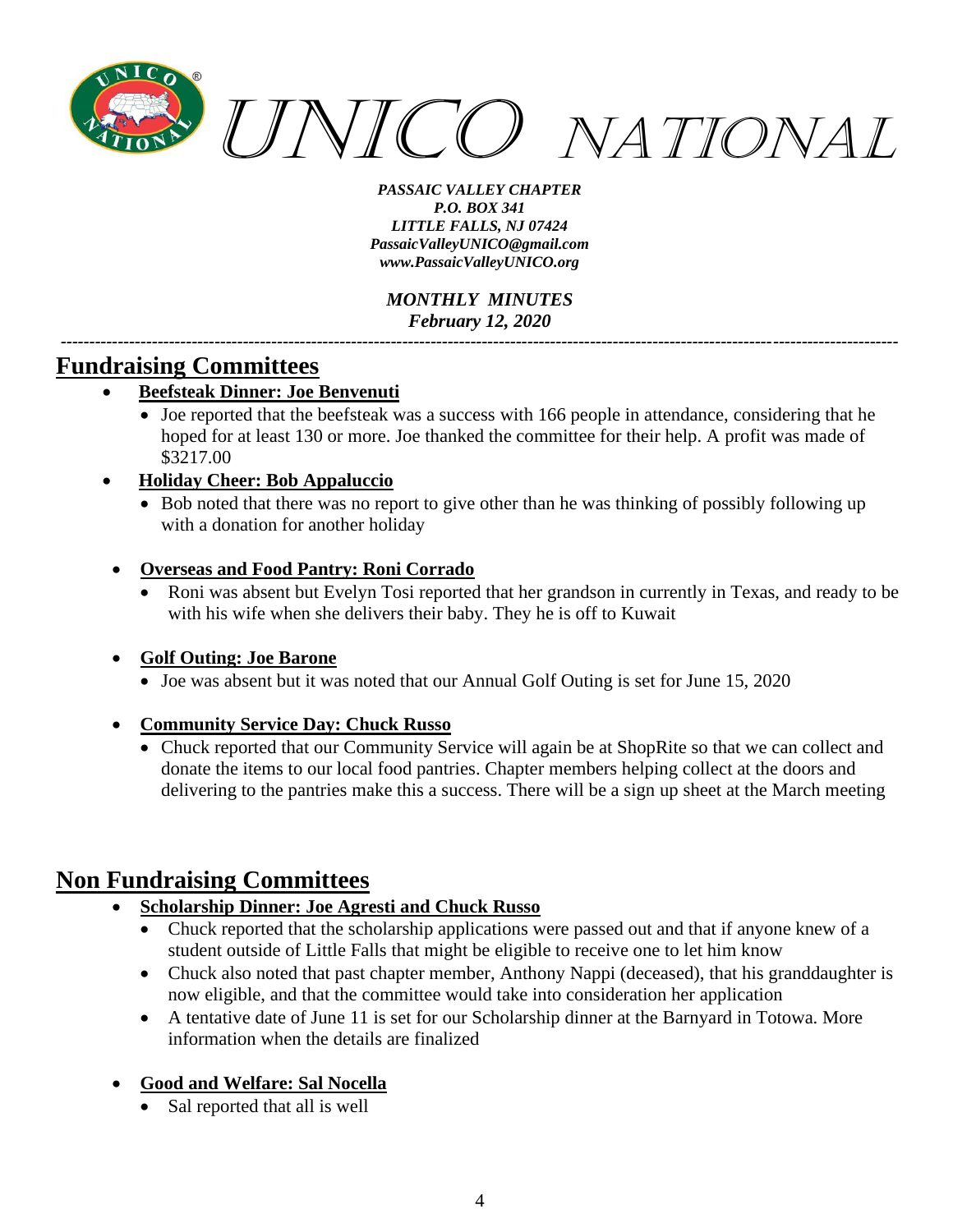

*MONTHLY MINUTES February 12, 2020 ---------------------------------------------------------------------------------------------------------------------------------------------------*

## **Fundraising Committees**

- **Beefsteak Dinner: Joe Benvenuti**
	- Joe reported that the beefsteak was a success with 166 people in attendance, considering that he hoped for at least 130 or more. Joe thanked the committee for their help. A profit was made of \$3217.00
- **Holiday Cheer: Bob Appaluccio**
	- Bob noted that there was no report to give other than he was thinking of possibly following up with a donation for another holiday
- **Overseas and Food Pantry: Roni Corrado**
	- Roni was absent but Evelyn Tosi reported that her grandson in currently in Texas, and ready to be with his wife when she delivers their baby. They he is off to Kuwait

#### • **Golf Outing: Joe Barone**

• Joe was absent but it was noted that our Annual Golf Outing is set for June 15, 2020

#### • **Community Service Day: Chuck Russo**

• Chuck reported that our Community Service will again be at ShopRite so that we can collect and donate the items to our local food pantries. Chapter members helping collect at the doors and delivering to the pantries make this a success. There will be a sign up sheet at the March meeting

## **Non Fundraising Committees**

- **Scholarship Dinner: Joe Agresti and Chuck Russo**
	- Chuck reported that the scholarship applications were passed out and that if anyone knew of a student outside of Little Falls that might be eligible to receive one to let him know
	- Chuck also noted that past chapter member, Anthony Nappi (deceased), that his granddaughter is now eligible, and that the committee would take into consideration her application
	- A tentative date of June 11 is set for our Scholarship dinner at the Barnyard in Totowa. More information when the details are finalized

### • **Good and Welfare: Sal Nocella**

Sal reported that all is well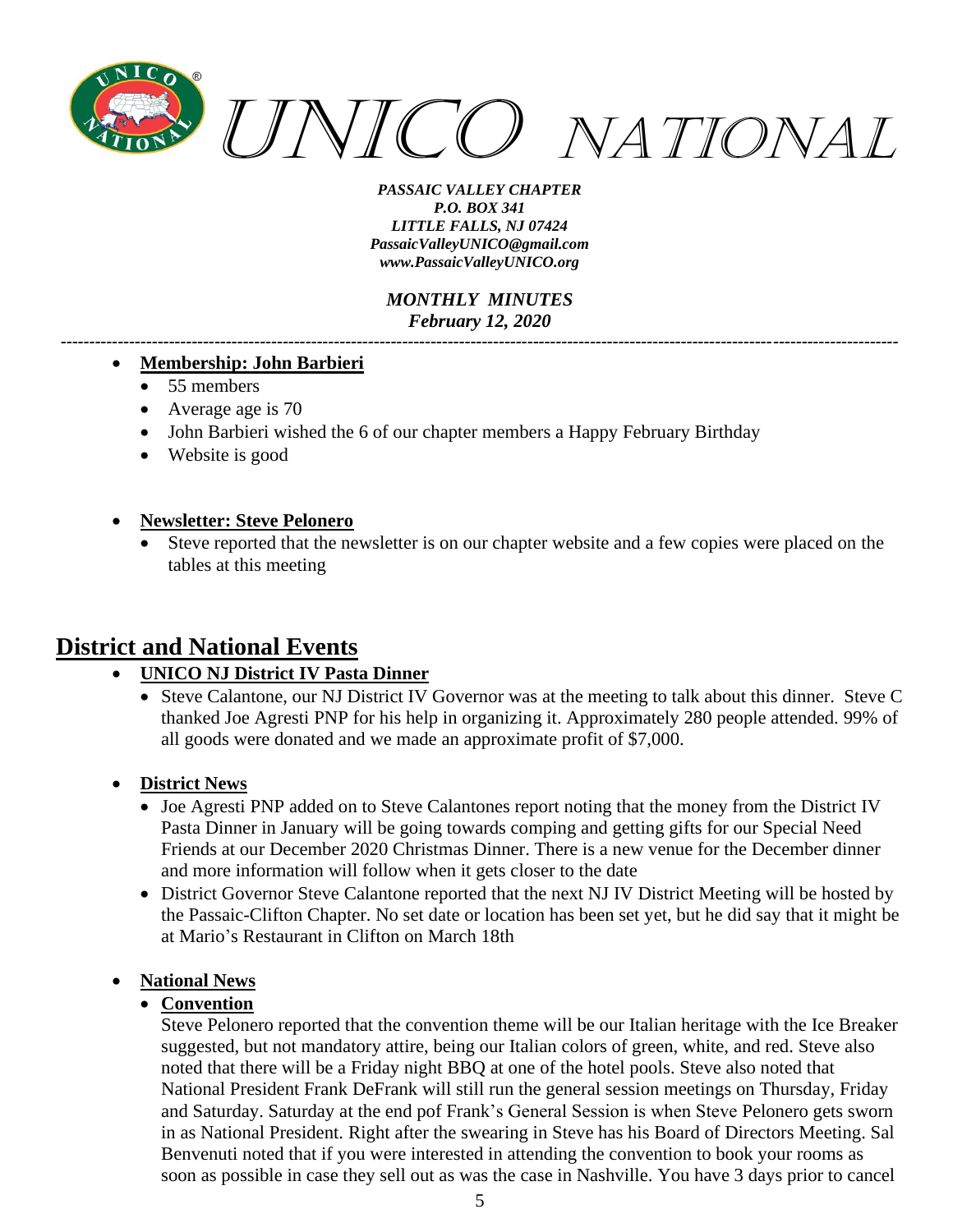

*MONTHLY MINUTES February 12, 2020*

*---------------------------------------------------------------------------------------------------------------------------------------------------*

#### • **Membership: John Barbieri**

- 55 members
- Average age is 70
- John Barbieri wished the 6 of our chapter members a Happy February Birthday
- Website is good

#### • **Newsletter: Steve Pelonero**

Steve reported that the newsletter is on our chapter website and a few copies were placed on the tables at this meeting

## **District and National Events**

- **UNICO NJ District IV Pasta Dinner**
	- Steve Calantone, our NJ District IV Governor was at the meeting to talk about this dinner. Steve C thanked Joe Agresti PNP for his help in organizing it. Approximately 280 people attended. 99% of all goods were donated and we made an approximate profit of \$7,000.
- **District News**
	- Joe Agresti PNP added on to Steve Calantones report noting that the money from the District IV Pasta Dinner in January will be going towards comping and getting gifts for our Special Need Friends at our December 2020 Christmas Dinner. There is a new venue for the December dinner and more information will follow when it gets closer to the date
	- District Governor Steve Calantone reported that the next NJ IV District Meeting will be hosted by the Passaic-Clifton Chapter. No set date or location has been set yet, but he did say that it might be at Mario's Restaurant in Clifton on March 18th

#### • **National News**

#### • **Convention**

Steve Pelonero reported that the convention theme will be our Italian heritage with the Ice Breaker suggested, but not mandatory attire, being our Italian colors of green, white, and red. Steve also noted that there will be a Friday night BBQ at one of the hotel pools. Steve also noted that National President Frank DeFrank will still run the general session meetings on Thursday, Friday and Saturday. Saturday at the end pof Frank's General Session is when Steve Pelonero gets sworn in as National President. Right after the swearing in Steve has his Board of Directors Meeting. Sal Benvenuti noted that if you were interested in attending the convention to book your rooms as soon as possible in case they sell out as was the case in Nashville. You have 3 days prior to cancel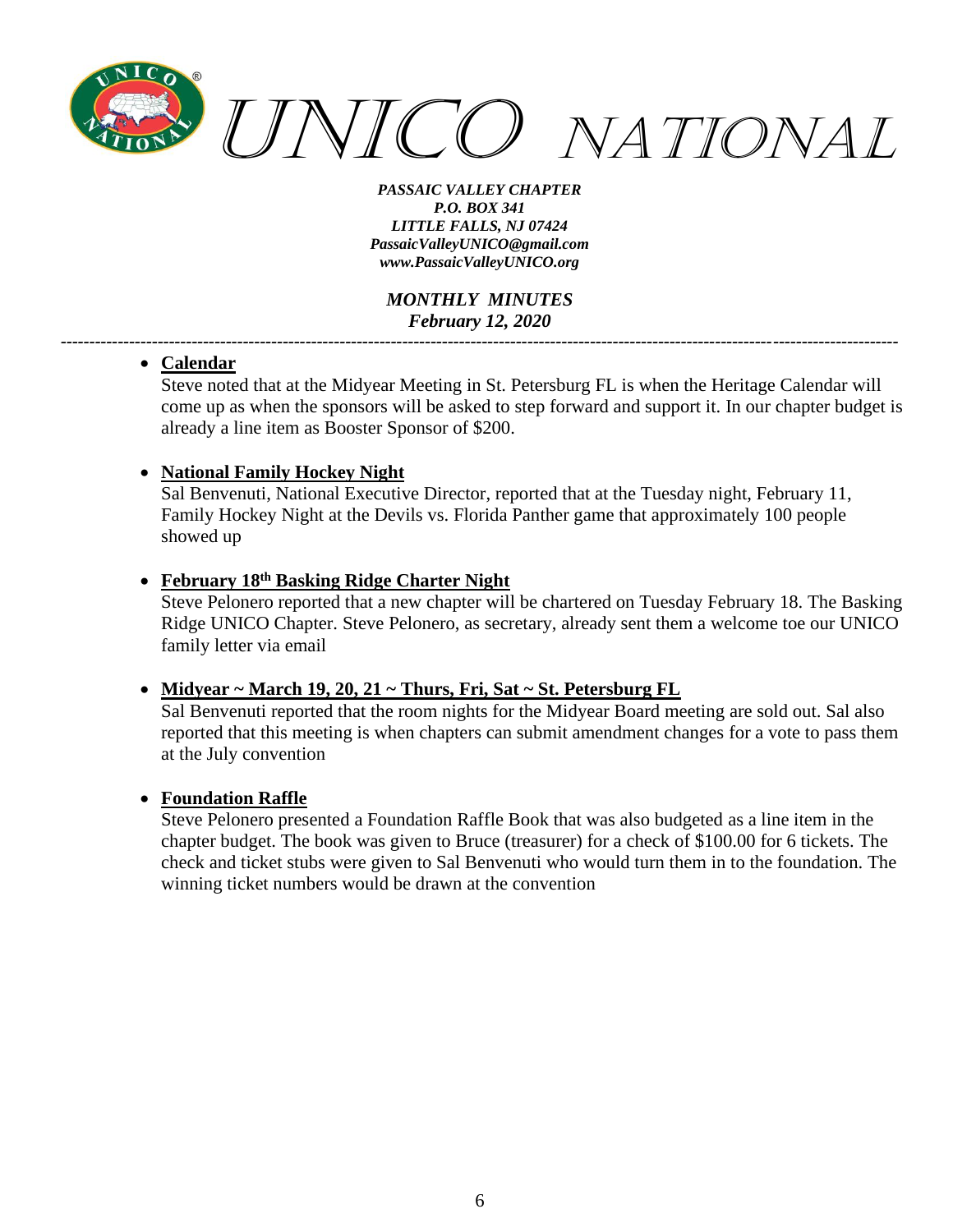

*MONTHLY MINUTES February 12, 2020*

*---------------------------------------------------------------------------------------------------------------------------------------------------*

#### • **Calendar**

Steve noted that at the Midyear Meeting in St. Petersburg FL is when the Heritage Calendar will come up as when the sponsors will be asked to step forward and support it. In our chapter budget is already a line item as Booster Sponsor of \$200.

#### • **National Family Hockey Night**

Sal Benvenuti, National Executive Director, reported that at the Tuesday night, February 11, Family Hockey Night at the Devils vs. Florida Panther game that approximately 100 people showed up

#### • **February 18 th Basking Ridge Charter Night**

Steve Pelonero reported that a new chapter will be chartered on Tuesday February 18. The Basking Ridge UNICO Chapter. Steve Pelonero, as secretary, already sent them a welcome toe our UNICO family letter via email

#### • **Midyear ~ March 19, 20, 21 ~ Thurs, Fri, Sat ~ St. Petersburg FL**

Sal Benvenuti reported that the room nights for the Midyear Board meeting are sold out. Sal also reported that this meeting is when chapters can submit amendment changes for a vote to pass them at the July convention

#### • **Foundation Raffle**

Steve Pelonero presented a Foundation Raffle Book that was also budgeted as a line item in the chapter budget. The book was given to Bruce (treasurer) for a check of \$100.00 for 6 tickets. The check and ticket stubs were given to Sal Benvenuti who would turn them in to the foundation. The winning ticket numbers would be drawn at the convention